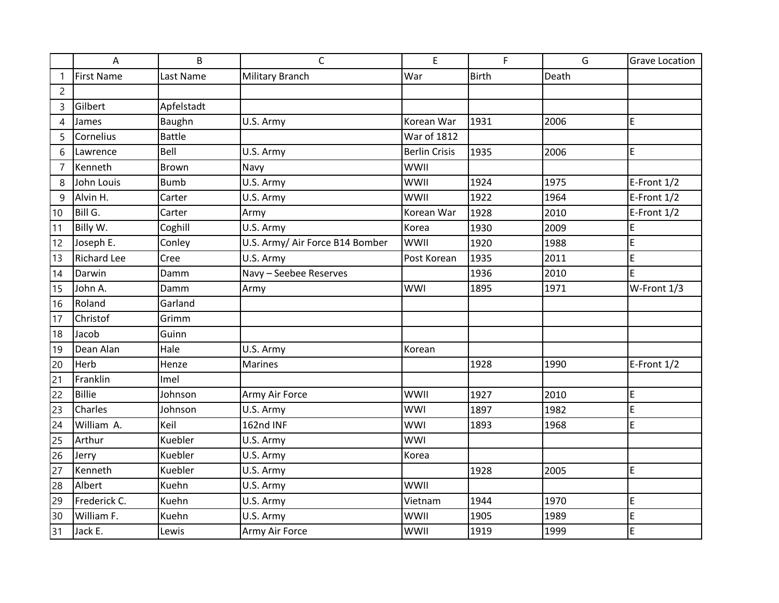|                | A                  | B             | $\mathsf{C}$                    | E                    | F.           | G     | <b>Grave Location</b> |
|----------------|--------------------|---------------|---------------------------------|----------------------|--------------|-------|-----------------------|
| $\mathbf{1}$   | <b>First Name</b>  | Last Name     | Military Branch                 | War                  | <b>Birth</b> | Death |                       |
| $\overline{2}$ |                    |               |                                 |                      |              |       |                       |
| 3              | Gilbert            | Apfelstadt    |                                 |                      |              |       |                       |
| 4              | James              | Baughn        | U.S. Army                       | Korean War           | 1931         | 2006  | E                     |
| 5              | Cornelius          | <b>Battle</b> |                                 | <b>War of 1812</b>   |              |       |                       |
| 6              | Lawrence           | Bell          | U.S. Army                       | <b>Berlin Crisis</b> | 1935         | 2006  | E                     |
| $\overline{7}$ | Kenneth            | <b>Brown</b>  | Navy                            | WWII                 |              |       |                       |
| 8              | John Louis         | <b>Bumb</b>   | U.S. Army                       | WWII                 | 1924         | 1975  | E-Front 1/2           |
| 9              | Alvin H.           | Carter        | U.S. Army                       | WWII                 | 1922         | 1964  | E-Front 1/2           |
| 10             | Bill G.            | Carter        | Army                            | Korean War           | 1928         | 2010  | E-Front 1/2           |
| 11             | Billy W.           | Coghill       | U.S. Army                       | Korea                | 1930         | 2009  | E                     |
| 12             | Joseph E.          | Conley        | U.S. Army/ Air Force B14 Bomber | WWII                 | 1920         | 1988  | E                     |
| 13             | <b>Richard Lee</b> | Cree          | U.S. Army                       | Post Korean          | 1935         | 2011  | E                     |
| 14             | Darwin             | Damm          | Navy - Seebee Reserves          |                      | 1936         | 2010  | E                     |
| 15             | John A.            | Damm          | Army                            | <b>WWI</b>           | 1895         | 1971  | W-Front 1/3           |
| 16             | Roland             | Garland       |                                 |                      |              |       |                       |
| 17             | Christof           | Grimm         |                                 |                      |              |       |                       |
| 18             | Jacob              | Guinn         |                                 |                      |              |       |                       |
| 19             | Dean Alan          | Hale          | U.S. Army                       | Korean               |              |       |                       |
| 20             | Herb               | Henze         | <b>Marines</b>                  |                      | 1928         | 1990  | E-Front 1/2           |
| 21             | Franklin           | Imel          |                                 |                      |              |       |                       |
| 22             | <b>Billie</b>      | Johnson       | Army Air Force                  | <b>WWII</b>          | 1927         | 2010  | E                     |
| 23             | Charles            | Johnson       | U.S. Army                       | <b>WWI</b>           | 1897         | 1982  | E                     |
| 24             | William A.         | Keil          | 162nd INF                       | <b>WWI</b>           | 1893         | 1968  | E                     |
| 25             | Arthur             | Kuebler       | U.S. Army                       | <b>WWI</b>           |              |       |                       |
| 26             | Jerry              | Kuebler       | U.S. Army                       | Korea                |              |       |                       |
| 27             | Kenneth            | Kuebler       | U.S. Army                       |                      | 1928         | 2005  | E                     |
| 28             | Albert             | Kuehn         | U.S. Army                       | <b>WWII</b>          |              |       |                       |
| 29             | Frederick C.       | Kuehn         | U.S. Army                       | Vietnam              | 1944         | 1970  | E                     |
| 30             | William F.         | Kuehn         | U.S. Army                       | WWII                 | 1905         | 1989  | E                     |
| 31             | Jack E.            | Lewis         | Army Air Force                  | WWII                 | 1919         | 1999  | E                     |